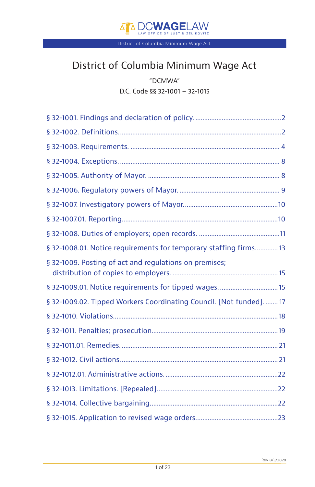

# District of Columbia Minimum Wage Act

"DCMWA" D.C. Code §§ 32-1001 – 32-1015

| § 32-1008.01. Notice requirements for temporary staffing firms 13    |
|----------------------------------------------------------------------|
| § 32-1009. Posting of act and regulations on premises;               |
| § 32-1009.01. Notice requirements for tipped wages.  15              |
| § 32-1009.02. Tipped Workers Coordinating Council. [Not funded].  17 |
|                                                                      |
|                                                                      |
|                                                                      |
|                                                                      |
|                                                                      |
|                                                                      |
|                                                                      |
|                                                                      |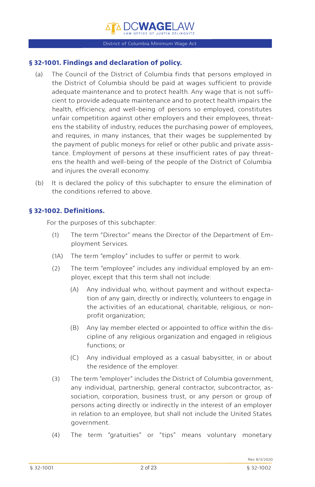## <span id="page-1-0"></span>**§ 32-1001. Findings and declaration of policy.**

- (a) The Council of the District of Columbia finds that persons employed in the District of Columbia should be paid at wages sufficient to provide adequate maintenance and to protect health. Any wage that is not sufficient to provide adequate maintenance and to protect health impairs the health, efficiency, and well-being of persons so employed, constitutes unfair competition against other employers and their employees, threatens the stability of industry, reduces the purchasing power of employees, and requires, in many instances, that their wages be supplemented by the payment of public moneys for relief or other public and private assistance. Employment of persons at these insufficient rates of pay threatens the health and well-being of the people of the District of Columbia and injures the overall economy.
- (b) It is declared the policy of this subchapter to ensure the elimination of the conditions referred to above.

## **§ 32-1002. Definitions.**

For the purposes of this subchapter:

- (1) The term "Director" means the Director of the Department of Employment Services.
- (1A) The term "employ" includes to suffer or permit to work.
- (2) The term "employee" includes any individual employed by an employer, except that this term shall not include:
	- (A) Any individual who, without payment and without expectation of any gain, directly or indirectly, volunteers to engage in the activities of an educational, charitable, religious, or nonprofit organization;
	- (B) Any lay member elected or appointed to office within the discipline of any religious organization and engaged in religious functions; or
	- (C) Any individual employed as a casual babysitter, in or about the residence of the employer.
- (3) The term "employer" includes the District of Columbia government, any individual, partnership, general contractor, subcontractor, association, corporation, business trust, or any person or group of persons acting directly or indirectly in the interest of an employer in relation to an employee, but shall not include the United States government.
- (4) The term "gratuities" or "tips" means voluntary monetary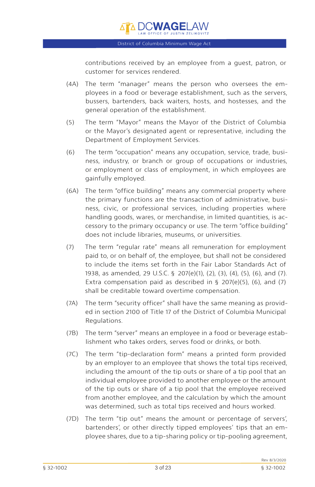contributions received by an employee from a guest, patron, or customer for services rendered.

- (4A) The term "manager" means the person who oversees the employees in a food or beverage establishment, such as the servers, bussers, bartenders, back waiters, hosts, and hostesses, and the general operation of the establishment.
- (5) The term "Mayor" means the Mayor of the District of Columbia or the Mayor's designated agent or representative, including the Department of Employment Services.
- (6) The term "occupation" means any occupation, service, trade, business, industry, or branch or group of occupations or industries, or employment or class of employment, in which employees are gainfully employed.
- (6A) The term "office building" means any commercial property where the primary functions are the transaction of administrative, business, civic, or professional services, including properties where handling goods, wares, or merchandise, in limited quantities, is accessory to the primary occupancy or use. The term "office building" does not include libraries, museums, or universities.
- (7) The term "regular rate" means all remuneration for employment paid to, or on behalf of, the employee, but shall not be considered to include the items set forth in the Fair Labor Standards Act of 1938, as amended, 29 U.S.C. § 207(e)(1), (2), (3), (4), (5), (6), and (7). Extra compensation paid as described in § 207(e)(5), (6), and (7) shall be creditable toward overtime compensation.
- (7A) The term "security officer" shall have the same meaning as provided in section 2100 of Title 17 of the District of Columbia Municipal Regulations.
- (7B) The term "server" means an employee in a food or beverage establishment who takes orders, serves food or drinks, or both.
- (7C) The term "tip-declaration form" means a printed form provided by an employer to an employee that shows the total tips received, including the amount of the tip outs or share of a tip pool that an individual employee provided to another employee or the amount of the tip outs or share of a tip pool that the employee received from another employee, and the calculation by which the amount was determined, such as total tips received and hours worked.
- (7D) The term "tip out" means the amount or percentage of servers', bartenders', or other directly tipped employees' tips that an employee shares, due to a tip-sharing policy or tip-pooling agreement,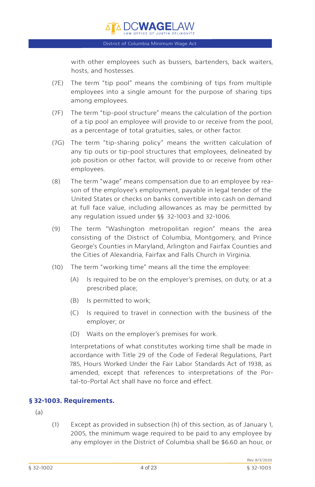<span id="page-3-0"></span>with other employees such as bussers, bartenders, back waiters, hosts, and hostesses.

- (7E) The term "tip pool" means the combining of tips from multiple employees into a single amount for the purpose of sharing tips among employees.
- (7F) The term "tip-pool structure" means the calculation of the portion of a tip pool an employee will provide to or receive from the pool, as a percentage of total gratuities, sales, or other factor.
- (7G) The term "tip-sharing policy" means the written calculation of any tip outs or tip-pool structures that employees, delineated by job position or other factor, will provide to or receive from other employees.
- (8) The term "wage" means compensation due to an employee by reason of the employee's employment, payable in legal tender of the United States or checks on banks convertible into cash on demand at full face value, including allowances as may be permitted by any regulation issued under §§ 32-1003 and 32-1006.
- (9) The term "Washington metropolitan region" means the area consisting of the District of Columbia, Montgomery, and Prince George's Counties in Maryland, Arlington and Fairfax Counties and the Cities of Alexandria, Fairfax and Falls Church in Virginia.
- (10) The term "working time" means all the time the employee:
	- (A) Is required to be on the employer's premises, on duty, or at a prescribed place;
	- (B) Is permitted to work;
	- (C) Is required to travel in connection with the business of the employer; or
	- (D) Waits on the employer's premises for work.

Interpretations of what constitutes working time shall be made in accordance with Title 29 of the Code of Federal Regulations, Part 785, Hours Worked Under the Fair Labor Standards Act of 1938, as amended, except that references to interpretations of the Portal-to-Portal Act shall have no force and effect.

## **§ 32-1003. Requirements.**

(a)

(1) Except as provided in subsection (h) of this section, as of January 1, 2005, the minimum wage required to be paid to any employee by any employer in the District of Columbia shall be \$6.60 an hour, or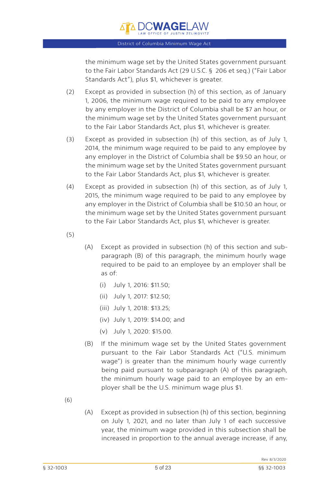

the minimum wage set by the United States government pursuant to the Fair Labor Standards Act (29 U.S.C. § 206 et seq.) ("Fair Labor Standards Act"), plus \$1, whichever is greater.

- (2) Except as provided in subsection (h) of this section, as of January 1, 2006, the minimum wage required to be paid to any employee by any employer in the District of Columbia shall be \$7 an hour, or the minimum wage set by the United States government pursuant to the Fair Labor Standards Act, plus \$1, whichever is greater.
- (3) Except as provided in subsection (h) of this section, as of July 1, 2014, the minimum wage required to be paid to any employee by any employer in the District of Columbia shall be \$9.50 an hour, or the minimum wage set by the United States government pursuant to the Fair Labor Standards Act, plus \$1, whichever is greater.
- (4) Except as provided in subsection (h) of this section, as of July 1, 2015, the minimum wage required to be paid to any employee by any employer in the District of Columbia shall be \$10.50 an hour, or the minimum wage set by the United States government pursuant to the Fair Labor Standards Act, plus \$1, whichever is greater.
- (5)
- (A) Except as provided in subsection (h) of this section and subparagraph (B) of this paragraph, the minimum hourly wage required to be paid to an employee by an employer shall be as of:
	- (i) July 1, 2016: \$11.50;
	- (ii) July 1, 2017: \$12.50;
	- (iii) July 1, 2018: \$13.25;
	- (iv) July 1, 2019: \$14.00; and
	- (v) July 1, 2020: \$15.00.
- (B) If the minimum wage set by the United States government pursuant to the Fair Labor Standards Act ("U.S. minimum wage") is greater than the minimum hourly wage currently being paid pursuant to subparagraph (A) of this paragraph, the minimum hourly wage paid to an employee by an employer shall be the U.S. minimum wage plus \$1.
- (6)
- (A) Except as provided in subsection (h) of this section, beginning on July 1, 2021, and no later than July 1 of each successive year, the minimum wage provided in this subsection shall be increased in proportion to the annual average increase, if any,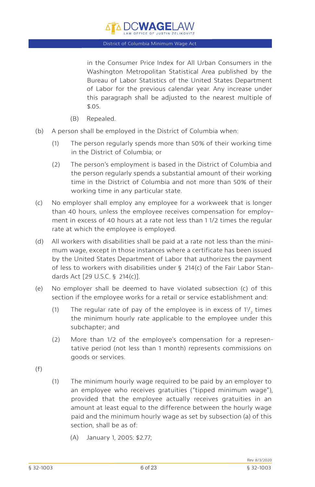

in the Consumer Price Index for All Urban Consumers in the Washington Metropolitan Statistical Area published by the Bureau of Labor Statistics of the United States Department of Labor for the previous calendar year. Any increase under this paragraph shall be adjusted to the nearest multiple of \$.05.

- (B) Repealed.
- (b) A person shall be employed in the District of Columbia when:
	- (1) The person regularly spends more than 50% of their working time in the District of Columbia; or
	- (2) The person's employment is based in the District of Columbia and the person regularly spends a substantial amount of their working time in the District of Columbia and not more than 50% of their working time in any particular state.
- (c) No employer shall employ any employee for a workweek that is longer than 40 hours, unless the employee receives compensation for employment in excess of 40 hours at a rate not less than 1 1/2 times the regular rate at which the employee is employed.
- (d) All workers with disabilities shall be paid at a rate not less than the minimum wage, except in those instances where a certificate has been issued by the United States Department of Labor that authorizes the payment of less to workers with disabilities under § 214(c) of the Fair Labor Standards Act [29 U.S.C. § 214(c)].
- (e) No employer shall be deemed to have violated subsection (c) of this section if the employee works for a retail or service establishment and:
	- (1) The regular rate of pay of the employee is in excess of  $11'_2$  times the minimum hourly rate applicable to the employee under this subchapter; and
	- (2) More than 1/2 of the employee's compensation for a representative period (not less than 1 month) represents commissions on goods or services.
- (f)
- (1) The minimum hourly wage required to be paid by an employer to an employee who receives gratuities ("tipped minimum wage"), provided that the employee actually receives gratuities in an amount at least equal to the difference between the hourly wage paid and the minimum hourly wage as set by subsection (a) of this section, shall be as of:
	- (A) January 1, 2005: \$2.77;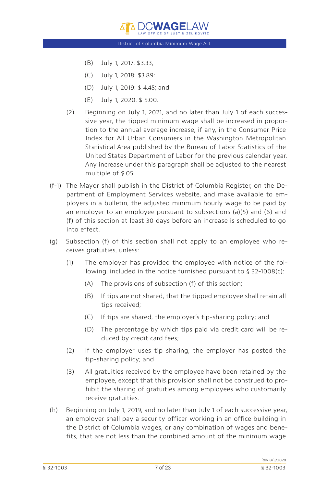- (B) July 1, 2017: \$3.33;
- (C) July 1, 2018: \$3.89:
- (D) July 1, 2019: \$ 4.45; and
- (E) July 1, 2020: \$ 5.00.
- (2) Beginning on July 1, 2021, and no later than July 1 of each successive year, the tipped minimum wage shall be increased in proportion to the annual average increase, if any, in the Consumer Price Index for All Urban Consumers in the Washington Metropolitan Statistical Area published by the Bureau of Labor Statistics of the United States Department of Labor for the previous calendar year. Any increase under this paragraph shall be adjusted to the nearest multiple of \$.05.
- (f-1) The Mayor shall publish in the District of Columbia Register, on the Department of Employment Services website, and make available to employers in a bulletin, the adjusted minimum hourly wage to be paid by an employer to an employee pursuant to subsections (a)(5) and (6) and (f) of this section at least 30 days before an increase is scheduled to go into effect.
- (g) Subsection (f) of this section shall not apply to an employee who receives gratuities, unless:
	- (1) The employer has provided the employee with notice of the following, included in the notice furnished pursuant to § 32-1008(c):
		- (A) The provisions of subsection (f) of this section;
		- (B) If tips are not shared, that the tipped employee shall retain all tips received;
		- (C) If tips are shared, the employer's tip-sharing policy; and
		- (D) The percentage by which tips paid via credit card will be reduced by credit card fees;
	- (2) If the employer uses tip sharing, the employer has posted the tip-sharing policy; and
	- (3) All gratuities received by the employee have been retained by the employee, except that this provision shall not be construed to prohibit the sharing of gratuities among employees who customarily receive gratuities.
- (h) Beginning on July 1, 2019, and no later than July 1 of each successive year, an employer shall pay a security officer working in an office building in the District of Columbia wages, or any combination of wages and benefits, that are not less than the combined amount of the minimum wage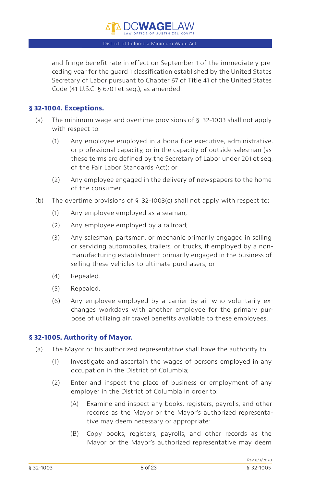$\overline{{\tt A}}$  d.cwagelaw

<span id="page-7-0"></span>and fringe benefit rate in effect on September 1 of the immediately preceding year for the guard 1 classification established by the United States Secretary of Labor pursuant to Chapter 67 of Title 41 of the United States Code (41 U.S.C. § 6701 et seq.), as amended.

## **§ 32-1004. Exceptions.**

- (a) The minimum wage and overtime provisions of § 32-1003 shall not apply with respect to:
	- (1) Any employee employed in a bona fide executive, administrative, or professional capacity, or in the capacity of outside salesman (as these terms are defined by the Secretary of Labor under 201 et seq. of the Fair Labor Standards Act); or
	- (2) Any employee engaged in the delivery of newspapers to the home of the consumer.
- (b) The overtime provisions of  $\S$  32-1003(c) shall not apply with respect to:
	- (1) Any employee employed as a seaman;
	- (2) Any employee employed by a railroad;
	- (3) Any salesman, partsman, or mechanic primarily engaged in selling or servicing automobiles, trailers, or trucks, if employed by a nonmanufacturing establishment primarily engaged in the business of selling these vehicles to ultimate purchasers; or
	- (4) Repealed.
	- (5) Repealed.
	- (6) Any employee employed by a carrier by air who voluntarily exchanges workdays with another employee for the primary purpose of utilizing air travel benefits available to these employees.

## **§ 32-1005. Authority of Mayor.**

- (a) The Mayor or his authorized representative shall have the authority to:
	- (1) Investigate and ascertain the wages of persons employed in any occupation in the District of Columbia;
	- (2) Enter and inspect the place of business or employment of any employer in the District of Columbia in order to:
		- (A) Examine and inspect any books, registers, payrolls, and other records as the Mayor or the Mayor's authorized representative may deem necessary or appropriate;
		- (B) Copy books, registers, payrolls, and other records as the Mayor or the Mayor's authorized representative may deem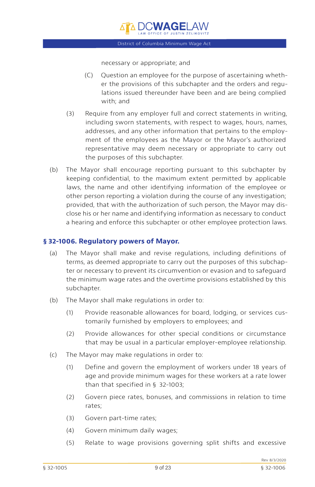necessary or appropriate; and

- <span id="page-8-0"></span>(C) Question an employee for the purpose of ascertaining whether the provisions of this subchapter and the orders and regulations issued thereunder have been and are being complied with; and
- (3) Require from any employer full and correct statements in writing, including sworn statements, with respect to wages, hours, names, addresses, and any other information that pertains to the employment of the employees as the Mayor or the Mayor's authorized representative may deem necessary or appropriate to carry out the purposes of this subchapter.
- (b) The Mayor shall encourage reporting pursuant to this subchapter by keeping confidential, to the maximum extent permitted by applicable laws, the name and other identifying information of the employee or other person reporting a violation during the course of any investigation; provided, that with the authorization of such person, the Mayor may disclose his or her name and identifying information as necessary to conduct a hearing and enforce this subchapter or other employee protection laws.

## **§ 32-1006. Regulatory powers of Mayor.**

- (a) The Mayor shall make and revise regulations, including definitions of terms, as deemed appropriate to carry out the purposes of this subchapter or necessary to prevent its circumvention or evasion and to safeguard the minimum wage rates and the overtime provisions established by this subchapter.
- (b) The Mayor shall make regulations in order to:
	- (1) Provide reasonable allowances for board, lodging, or services customarily furnished by employers to employees; and
	- (2) Provide allowances for other special conditions or circumstance that may be usual in a particular employer-employee relationship.
- (c) The Mayor may make regulations in order to:
	- (1) Define and govern the employment of workers under 18 years of age and provide minimum wages for these workers at a rate lower than that specified in § 32-1003;
	- (2) Govern piece rates, bonuses, and commissions in relation to time rates;
	- (3) Govern part-time rates;
	- (4) Govern minimum daily wages;
	- (5) Relate to wage provisions governing split shifts and excessive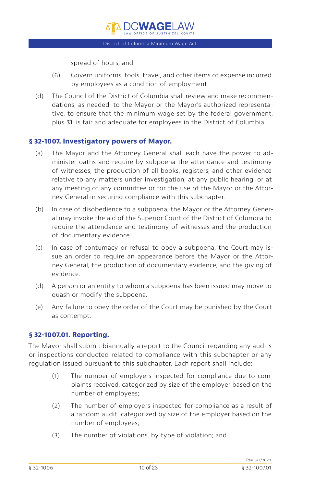spread of hours; and

- <span id="page-9-0"></span>(6) Govern uniforms, tools, travel, and other items of expense incurred by employees as a condition of employment.
- (d) The Council of the District of Columbia shall review and make recommendations, as needed, to the Mayor or the Mayor's authorized representative, to ensure that the minimum wage set by the federal government, plus \$1, is fair and adequate for employees in the District of Columbia.

## **§ 32-1007. Investigatory powers of Mayor.**

- (a) The Mayor and the Attorney General shall each have the power to administer oaths and require by subpoena the attendance and testimony of witnesses, the production of all books, registers, and other evidence relative to any matters under investigation, at any public hearing, or at any meeting of any committee or for the use of the Mayor or the Attorney General in securing compliance with this subchapter.
- (b) In case of disobedience to a subpoena, the Mayor or the Attorney General may invoke the aid of the Superior Court of the District of Columbia to require the attendance and testimony of witnesses and the production of documentary evidence.
- (c) In case of contumacy or refusal to obey a subpoena, the Court may issue an order to require an appearance before the Mayor or the Attorney General, the production of documentary evidence, and the giving of evidence.
- (d) A person or an entity to whom a subpoena has been issued may move to quash or modify the subpoena.
- (e) Any failure to obey the order of the Court may be punished by the Court as contempt.

## **§ 32-1007.01. Reporting.**

The Mayor shall submit biannually a report to the Council regarding any audits or inspections conducted related to compliance with this subchapter or any regulation issued pursuant to this subchapter. Each report shall include:

- (1) The number of employers inspected for compliance due to complaints received, categorized by size of the employer based on the number of employees;
- (2) The number of employers inspected for compliance as a result of a random audit, categorized by size of the employer based on the number of employees;
- (3) The number of violations, by type of violation; and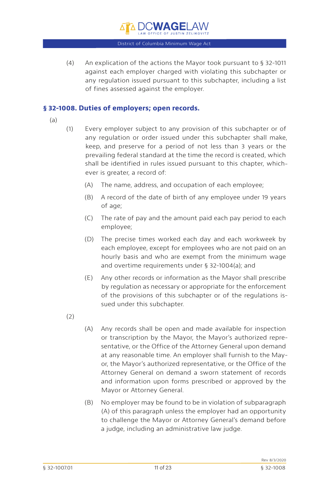# District of Columbia Minimum Wage Act D.C. WAGE!

<span id="page-10-0"></span>(4) An explication of the actions the Mayor took pursuant to § 32-1011 against each employer charged with violating this subchapter or any regulation issued pursuant to this subchapter, including a list of fines assessed against the employer.

## **§ 32-1008. Duties of employers; open records.**

- (a)
- (1) Every employer subject to any provision of this subchapter or of any regulation or order issued under this subchapter shall make, keep, and preserve for a period of not less than 3 years or the prevailing federal standard at the time the record is created, which shall be identified in rules issued pursuant to this chapter, whichever is greater, a record of:
	- (A) The name, address, and occupation of each employee;
	- (B) A record of the date of birth of any employee under 19 years of age;
	- (C) The rate of pay and the amount paid each pay period to each employee;
	- (D) The precise times worked each day and each workweek by each employee, except for employees who are not paid on an hourly basis and who are exempt from the minimum wage and overtime requirements under § 32-1004(a); and
	- (E) Any other records or information as the Mayor shall prescribe by regulation as necessary or appropriate for the enforcement of the provisions of this subchapter or of the regulations issued under this subchapter.
- $(2)$
- (A) Any records shall be open and made available for inspection or transcription by the Mayor, the Mayor's authorized representative, or the Office of the Attorney General upon demand at any reasonable time. An employer shall furnish to the Mayor, the Mayor's authorized representative, or the Office of the Attorney General on demand a sworn statement of records and information upon forms prescribed or approved by the Mayor or Attorney General.
- (B) No employer may be found to be in violation of subparagraph (A) of this paragraph unless the employer had an opportunity to challenge the Mayor or Attorney General's demand before a judge, including an administrative law judge.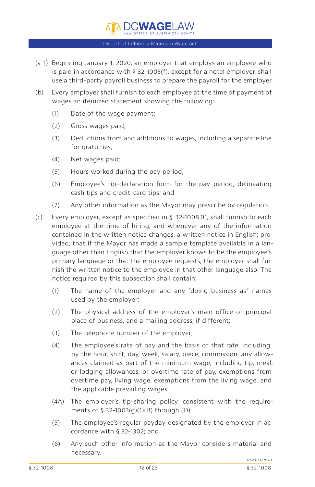

À DC**wage**lan

- (a-1) Beginning January 1, 2020, an employer that employs an employee who is paid in accordance with § 32-1003(f), except for a hotel employer, shall use a third-party payroll business to prepare the payroll for the employer.
- (b) Every employer shall furnish to each employee at the time of payment of wages an itemized statement showing the following:
	- (1) Date of the wage payment;
	- (2) Gross wages paid;
	- (3) Deductions from and additions to wages, including a separate line for gratuities;
	- (4) Net wages paid;
	- (5) Hours worked during the pay period;
	- (6) Employee's tip-declaration form for the pay period, delineating cash tips and credit-card tips; and
	- (7) Any other information as the Mayor may prescribe by regulation.
- (c) Every employer, except as specified in § 32-1008.01, shall furnish to each employee at the time of hiring, and whenever any of the information contained in the written notice changes, a written notice in English; provided, that if the Mayor has made a sample template available in a language other than English that the employer knows to be the employee's primary language or that the employee requests, the employer shall furnish the written notice to the employee in that other language also. The notice required by this subsection shall contain:
	- (1) The name of the employer and any "doing business as" names used by the employer;
	- (2) The physical address of the employer's main office or principal place of business, and a mailing address, if different;
	- (3) The telephone number of the employer;
	- (4) The employee's rate of pay and the basis of that rate, including: by the hour, shift, day, week, salary, piece, commission, any allowances claimed as part of the minimum wage, including tip, meal, or lodging allowances, or overtime rate of pay, exemptions from overtime pay, living wage, exemptions from the living wage, and the applicable prevailing wages;
	- (4A) The employer's tip-sharing policy, consistent with the requirements of § 32-1003(g)(1)(B) through (D);
	- (5) The employee's regular payday designated by the employer in accordance with § 32-1302; and
	- (6) Any such other information as the Mayor considers material and necessary.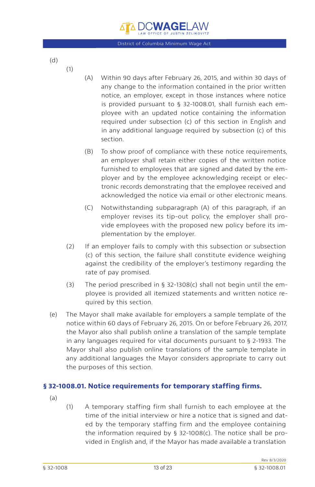

<span id="page-12-0"></span>(d)

(1)

- (A) Within 90 days after February 26, 2015, and within 30 days of any change to the information contained in the prior written notice, an employer, except in those instances where notice is provided pursuant to § 32-1008.01, shall furnish each employee with an updated notice containing the information required under subsection (c) of this section in English and in any additional language required by subsection (c) of this section.
- (B) To show proof of compliance with these notice requirements, an employer shall retain either copies of the written notice furnished to employees that are signed and dated by the employer and by the employee acknowledging receipt or electronic records demonstrating that the employee received and acknowledged the notice via email or other electronic means.
- (C) Notwithstanding subparagraph (A) of this paragraph, if an employer revises its tip-out policy, the employer shall provide employees with the proposed new policy before its implementation by the employer.
- (2) If an employer fails to comply with this subsection or subsection (c) of this section, the failure shall constitute evidence weighing against the credibility of the employer's testimony regarding the rate of pay promised.
- (3) The period prescribed in § 32-1308(c) shall not begin until the employee is provided all itemized statements and written notice required by this section.
- (e) The Mayor shall make available for employers a sample template of the notice within 60 days of February 26, 2015. On or before February 26, 2017, the Mayor also shall publish online a translation of the sample template in any languages required for vital documents pursuant to § 2-1933. The Mayor shall also publish online translations of the sample template in any additional languages the Mayor considers appropriate to carry out the purposes of this section.

## **§ 32-1008.01. Notice requirements for temporary staffing firms.**

- (a)
- (1) A temporary staffing firm shall furnish to each employee at the time of the initial interview or hire a notice that is signed and dated by the temporary staffing firm and the employee containing the information required by § 32-1008(c). The notice shall be provided in English and, if the Mayor has made available a translation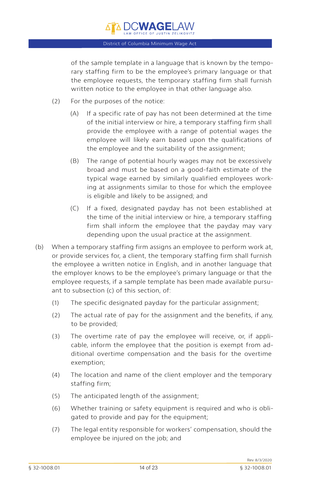# **DCWAGELAW** District of Columbia Minimum Wage Act

of the sample template in a language that is known by the temporary staffing firm to be the employee's primary language or that the employee requests, the temporary staffing firm shall furnish written notice to the employee in that other language also.

- (2) For the purposes of the notice:
	- (A) If a specific rate of pay has not been determined at the time of the initial interview or hire, a temporary staffing firm shall provide the employee with a range of potential wages the employee will likely earn based upon the qualifications of the employee and the suitability of the assignment;
	- (B) The range of potential hourly wages may not be excessively broad and must be based on a good-faith estimate of the typical wage earned by similarly qualified employees working at assignments similar to those for which the employee is eligible and likely to be assigned; and
	- (C) If a fixed, designated payday has not been established at the time of the initial interview or hire, a temporary staffing firm shall inform the employee that the payday may vary depending upon the usual practice at the assignment.
- (b) When a temporary staffing firm assigns an employee to perform work at, or provide services for, a client, the temporary staffing firm shall furnish the employee a written notice in English, and in another language that the employer knows to be the employee's primary language or that the employee requests, if a sample template has been made available pursuant to subsection (c) of this section, of:
	- (1) The specific designated payday for the particular assignment;
	- (2) The actual rate of pay for the assignment and the benefits, if any, to be provided;
	- (3) The overtime rate of pay the employee will receive, or, if applicable, inform the employee that the position is exempt from additional overtime compensation and the basis for the overtime exemption;
	- (4) The location and name of the client employer and the temporary staffing firm;
	- (5) The anticipated length of the assignment;
	- (6) Whether training or safety equipment is required and who is obligated to provide and pay for the equipment;
	- (7) The legal entity responsible for workers' compensation, should the employee be injured on the job; and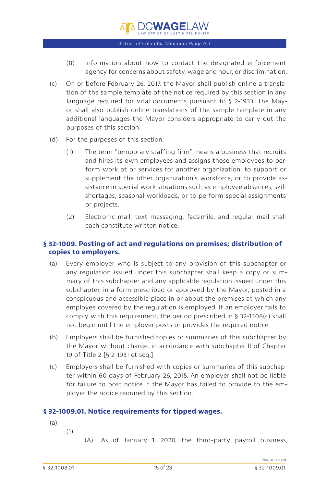

**DCWAGELAW** 

- <span id="page-14-0"></span>(8) Information about how to contact the designated enforcement agency for concerns about safety, wage and hour, or discrimination.
- (c) On or before February 26, 2017, the Mayor shall publish online a translation of the sample template of the notice required by this section in any language required for vital documents pursuant to § 2-1933. The Mayor shall also publish online translations of the sample template in any additional languages the Mayor considers appropriate to carry out the purposes of this section.
- (d) For the purposes of this section:
	- (1) The term "temporary staffing firm" means a business that recruits and hires its own employees and assigns those employees to perform work at or services for another organization, to support or supplement the other organization's workforce, or to provide assistance in special work situations such as employee absences, skill shortages, seasonal workloads, or to perform special assignments or projects.
	- (2) Electronic mail, text messaging, facsimile, and regular mail shall each constitute written notice.

## **§ 32-1009. Posting of act and regulations on premises; distribution of copies to employers.**

- (a) Every employer who is subject to any provision of this subchapter or any regulation issued under this subchapter shall keep a copy or summary of this subchapter and any applicable regulation issued under this subchapter, in a form prescribed or approved by the Mayor, posted in a conspicuous and accessible place in or about the premises at which any employee covered by the regulation is employed. If an employer fails to comply with this requirement, the period prescribed in § 32-1308(c) shall not begin until the employer posts or provides the required notice.
- (b) Employers shall be furnished copies or summaries of this subchapter by the Mayor without charge, in accordance with subchapter II of Chapter 19 of Title 2 [§ 2-1931 et seq.].
- (c) Employers shall be furnished with copies or summaries of this subchapter within 60 days of February 26, 2015. An employer shall not be liable for failure to post notice if the Mayor has failed to provide to the employer the notice required by this section.

## **§ 32-1009.01. Notice requirements for tipped wages.**

- (a)
- (1)

(A) As of January 1, 2020, the third-party payroll business,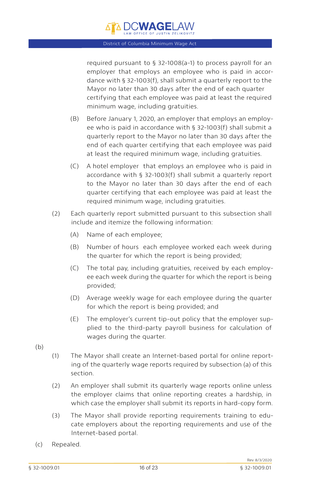

required pursuant to § 32-1008(a-1) to process payroll for an employer that employs an employee who is paid in accordance with § 32-1003(f), shall submit a quarterly report to the Mayor no later than 30 days after the end of each quarter certifying that each employee was paid at least the required minimum wage, including gratuities.

- (B) Before January 1, 2020, an employer that employs an employee who is paid in accordance with § 32-1003(f) shall submit a quarterly report to the Mayor no later than 30 days after the end of each quarter certifying that each employee was paid at least the required minimum wage, including gratuities.
- (C) A hotel employer that employs an employee who is paid in accordance with § 32-1003(f) shall submit a quarterly report to the Mayor no later than 30 days after the end of each quarter certifying that each employee was paid at least the required minimum wage, including gratuities.
- (2) Each quarterly report submitted pursuant to this subsection shall include and itemize the following information:
	- (A) Name of each employee;
	- (B) Number of hours each employee worked each week during the quarter for which the report is being provided;
	- (C) The total pay, including gratuities, received by each employee each week during the quarter for which the report is being provided;
	- (D) Average weekly wage for each employee during the quarter for which the report is being provided; and
	- (E) The employer's current tip-out policy that the employer supplied to the third-party payroll business for calculation of wages during the quarter.
- (b)
- (1) The Mayor shall create an Internet-based portal for online reporting of the quarterly wage reports required by subsection (a) of this section.
- (2) An employer shall submit its quarterly wage reports online unless the employer claims that online reporting creates a hardship, in which case the employer shall submit its reports in hard-copy form.
- (3) The Mayor shall provide reporting requirements training to educate employers about the reporting requirements and use of the Internet-based portal.
- (c) Repealed.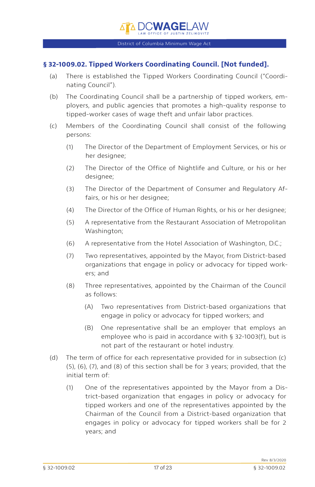## <span id="page-16-0"></span>**§ 32-1009.02. Tipped Workers Coordinating Council. [Not funded].**

- (a) There is established the Tipped Workers Coordinating Council ("Coordinating Council").
- (b) The Coordinating Council shall be a partnership of tipped workers, employers, and public agencies that promotes a high-quality response to tipped-worker cases of wage theft and unfair labor practices.
- (c) Members of the Coordinating Council shall consist of the following persons:
	- (1) The Director of the Department of Employment Services, or his or her designee;
	- (2) The Director of the Office of Nightlife and Culture, or his or her desianee:
	- (3) The Director of the Department of Consumer and Regulatory Affairs, or his or her designee;
	- (4) The Director of the Office of Human Rights, or his or her designee;
	- (5) A representative from the Restaurant Association of Metropolitan Washington;
	- (6) A representative from the Hotel Association of Washington, D.C.;
	- (7) Two representatives, appointed by the Mayor, from District-based organizations that engage in policy or advocacy for tipped workers; and
	- (8) Three representatives, appointed by the Chairman of the Council as follows:
		- (A) Two representatives from District-based organizations that engage in policy or advocacy for tipped workers; and
		- (B) One representative shall be an employer that employs an employee who is paid in accordance with § 32-1003(f), but is not part of the restaurant or hotel industry.
- (d) The term of office for each representative provided for in subsection (c) (5), (6), (7), and (8) of this section shall be for 3 years; provided, that the initial term of:
	- (1) One of the representatives appointed by the Mayor from a District-based organization that engages in policy or advocacy for tipped workers and one of the representatives appointed by the Chairman of the Council from a District-based organization that engages in policy or advocacy for tipped workers shall be for 2 years; and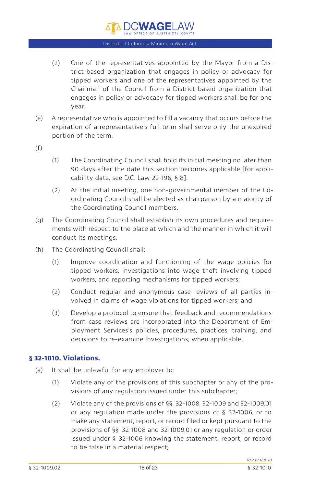À DC**WAGE**law

- <span id="page-17-0"></span>(2) One of the representatives appointed by the Mayor from a District-based organization that engages in policy or advocacy for tipped workers and one of the representatives appointed by the Chairman of the Council from a District-based organization that engages in policy or advocacy for tipped workers shall be for one year.
- (e) A representative who is appointed to fill a vacancy that occurs before the expiration of a representative's full term shall serve only the unexpired portion of the term.
- (f)
- (1) The Coordinating Council shall hold its initial meeting no later than 90 days after the date this section becomes applicable [for applicability date, see D.C. Law 22-196, § 8].
- (2) At the initial meeting, one non-governmental member of the Coordinating Council shall be elected as chairperson by a majority of the Coordinating Council members.
- (g) The Coordinating Council shall establish its own procedures and requirements with respect to the place at which and the manner in which it will conduct its meetings.
- (h) The Coordinating Council shall:
	- (1) Improve coordination and functioning of the wage policies for tipped workers, investigations into wage theft involving tipped workers, and reporting mechanisms for tipped workers;
	- (2) Conduct regular and anonymous case reviews of all parties involved in claims of wage violations for tipped workers; and
	- (3) Develop a protocol to ensure that feedback and recommendations from case reviews are incorporated into the Department of Employment Services's policies, procedures, practices, training, and decisions to re-examine investigations, when applicable.

## **§ 32-1010. Violations.**

- (a) It shall be unlawful for any employer to:
	- (1) Violate any of the provisions of this subchapter or any of the provisions of any regulation issued under this subchapter;
	- (2) Violate any of the provisions of §§ 32-1008, 32-1009 and 32-1009.01 or any regulation made under the provisions of § 32-1006, or to make any statement, report, or record filed or kept pursuant to the provisions of §§ 32-1008 and 32-1009.01 or any regulation or order issued under § 32-1006 knowing the statement, report, or record to be false in a material respect;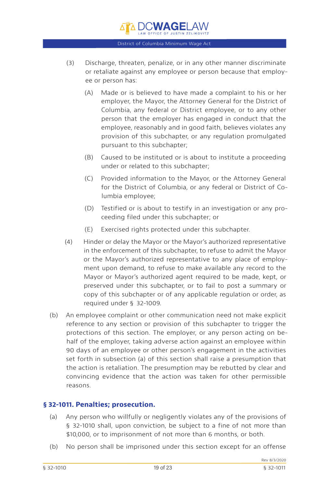

- <span id="page-18-0"></span>(3) Discharge, threaten, penalize, or in any other manner discriminate or retaliate against any employee or person because that employee or person has:
	- (A) Made or is believed to have made a complaint to his or her employer, the Mayor, the Attorney General for the District of Columbia, any federal or District employee, or to any other person that the employer has engaged in conduct that the employee, reasonably and in good faith, believes violates any provision of this subchapter, or any regulation promulgated pursuant to this subchapter;
	- (B) Caused to be instituted or is about to institute a proceeding under or related to this subchapter;
	- (C) Provided information to the Mayor, or the Attorney General for the District of Columbia, or any federal or District of Columbia employee;
	- (D) Testified or is about to testify in an investigation or any proceeding filed under this subchapter; or
	- (E) Exercised rights protected under this subchapter.
- (4) Hinder or delay the Mayor or the Mayor's authorized representative in the enforcement of this subchapter, to refuse to admit the Mayor or the Mayor's authorized representative to any place of employment upon demand, to refuse to make available any record to the Mayor or Mayor's authorized agent required to be made, kept, or preserved under this subchapter, or to fail to post a summary or copy of this subchapter or of any applicable regulation or order, as required under § 32-1009.
- (b) An employee complaint or other communication need not make explicit reference to any section or provision of this subchapter to trigger the protections of this section. The employer, or any person acting on behalf of the employer, taking adverse action against an employee within 90 days of an employee or other person's engagement in the activities set forth in subsection (a) of this section shall raise a presumption that the action is retaliation. The presumption may be rebutted by clear and convincing evidence that the action was taken for other permissible reasons.

## **§ 32-1011. Penalties; prosecution.**

- (a) Any person who willfully or negligently violates any of the provisions of § 32-1010 shall, upon conviction, be subject to a fine of not more than \$10,000, or to imprisonment of not more than 6 months, or both.
- (b) No person shall be imprisoned under this section except for an offense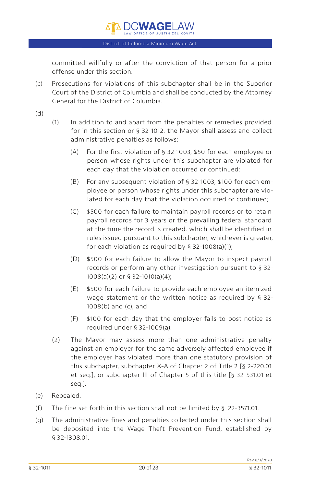committed willfully or after the conviction of that person for a prior offense under this section.

- (c) Prosecutions for violations of this subchapter shall be in the Superior Court of the District of Columbia and shall be conducted by the Attorney General for the District of Columbia.
- (d)
- (1) In addition to and apart from the penalties or remedies provided for in this section or § 32-1012, the Mayor shall assess and collect administrative penalties as follows:
	- (A) For the first violation of § 32-1003, \$50 for each employee or person whose rights under this subchapter are violated for each day that the violation occurred or continued;
	- (B) For any subsequent violation of § 32-1003, \$100 for each employee or person whose rights under this subchapter are violated for each day that the violation occurred or continued;
	- (C) \$500 for each failure to maintain payroll records or to retain payroll records for 3 years or the prevailing federal standard at the time the record is created, which shall be identified in rules issued pursuant to this subchapter, whichever is greater, for each violation as required by § 32-1008(a)(1);
	- (D) \$500 for each failure to allow the Mayor to inspect payroll records or perform any other investigation pursuant to § 32- 1008(a)(2) or § 32-1010(a)(4);
	- (E) \$500 for each failure to provide each employee an itemized wage statement or the written notice as required by § 32- 1008(b) and (c); and
	- (F) \$100 for each day that the employer fails to post notice as required under § 32-1009(a).
- (2) The Mayor may assess more than one administrative penalty against an employer for the same adversely affected employee if the employer has violated more than one statutory provision of this subchapter, subchapter X-A of Chapter 2 of Title 2 [§ 2-220.01 et seq.], or subchapter III of Chapter 5 of this title [§ 32-531.01 et seq.].
- (e) Repealed.
- (f) The fine set forth in this section shall not be limited by § 22-3571.01.
- (g) The administrative fines and penalties collected under this section shall be deposited into the Wage Theft Prevention Fund, established by § 32-1308.01.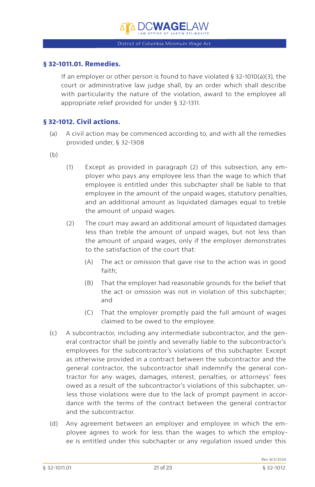# **DCWAGEL**

District of Columbia Minimum Wage Act

## <span id="page-20-0"></span>**§ 32-1011.01. Remedies.**

If an employer or other person is found to have violated § 32-1010(a)(3), the court or administrative law judge shall, by an order which shall describe with particularity the nature of the violation, award to the employee all appropriate relief provided for under § 32-1311.

## **§ 32-1012. Civil actions.**

- (a) A civil action may be commenced according to, and with all the remedies provided under, § 32-1308
- (b)
- (1) Except as provided in paragraph (2) of this subsection, any employer who pays any employee less than the wage to which that employee is entitled under this subchapter shall be liable to that employee in the amount of the unpaid wages, statutory penalties, and an additional amount as liquidated damages equal to treble the amount of unpaid wages.
- (2) The court may award an additional amount of liquidated damages less than treble the amount of unpaid wages, but not less than the amount of unpaid wages, only if the employer demonstrates to the satisfaction of the court that:
	- (A) The act or omission that gave rise to the action was in good faith;
	- (B) That the employer had reasonable grounds for the belief that the act or omission was not in violation of this subchapter; and
	- (C) That the employer promptly paid the full amount of wages claimed to be owed to the employee.
- (c) A subcontractor, including any intermediate subcontractor, and the general contractor shall be jointly and severally liable to the subcontractor's employees for the subcontractor's violations of this subchapter. Except as otherwise provided in a contract between the subcontractor and the general contractor, the subcontractor shall indemnify the general contractor for any wages, damages, interest, penalties, or attorneys' fees owed as a result of the subcontractor's violations of this subchapter, unless those violations were due to the lack of prompt payment in accordance with the terms of the contract between the general contractor and the subcontractor.
- (d) Any agreement between an employer and employee in which the employee agrees to work for less than the wages to which the employee is entitled under this subchapter or any regulation issued under this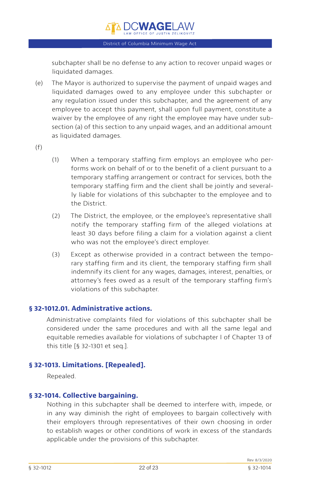<span id="page-21-0"></span>subchapter shall be no defense to any action to recover unpaid wages or liquidated damages.

- (e) The Mayor is authorized to supervise the payment of unpaid wages and liquidated damages owed to any employee under this subchapter or any regulation issued under this subchapter, and the agreement of any employee to accept this payment, shall upon full payment, constitute a waiver by the employee of any right the employee may have under subsection (a) of this section to any unpaid wages, and an additional amount as liquidated damages.
- $(f)$
- (1) When a temporary staffing firm employs an employee who performs work on behalf of or to the benefit of a client pursuant to a temporary staffing arrangement or contract for services, both the temporary staffing firm and the client shall be jointly and severally liable for violations of this subchapter to the employee and to the District.
- (2) The District, the employee, or the employee's representative shall notify the temporary staffing firm of the alleged violations at least 30 days before filing a claim for a violation against a client who was not the employee's direct employer.
- (3) Except as otherwise provided in a contract between the temporary staffing firm and its client, the temporary staffing firm shall indemnify its client for any wages, damages, interest, penalties, or attorney's fees owed as a result of the temporary staffing firm's violations of this subchapter.

## **§ 32-1012.01. Administrative actions.**

Administrative complaints filed for violations of this subchapter shall be considered under the same procedures and with all the same legal and equitable remedies available for violations of subchapter I of Chapter 13 of this title [§ 32-1301 et seq.].

## **§ 32-1013. Limitations. [Repealed].**

Repealed.

## **§ 32-1014. Collective bargaining.**

Nothing in this subchapter shall be deemed to interfere with, impede, or in any way diminish the right of employees to bargain collectively with their employers through representatives of their own choosing in order to establish wages or other conditions of work in excess of the standards applicable under the provisions of this subchapter.